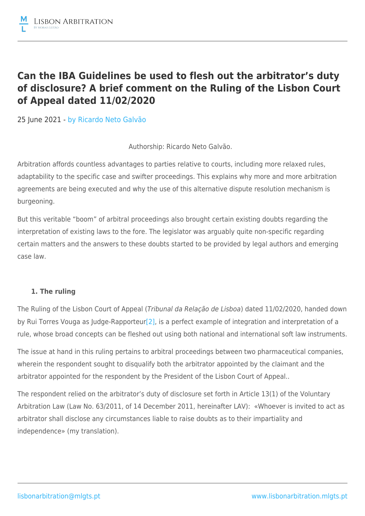## **Can the IBA Guidelines be used to flesh out the arbitrator's duty of disclosure? A brief comment on the Ruling of the Lisbon Court of Appeal dated 11/02/2020**

25 June 2021 - by [Ricardo Neto Galvão](https://lisbonarbitration.mlgts.pt/articles/?f_author=97?v=2)

Authorship: Ricardo Neto Galvão.

Arbitration affords countless advantages to parties relative to courts, including more relaxed rules, adaptability to the specific case and swifter proceedings. This explains why more and more arbitration agreements are being executed and why the use of this alternative dispute resolution mechanism is burgeoning.

But this veritable "boom" of arbitral proceedings also brought certain existing doubts regarding the interpretation of existing laws to the fore. The legislator was arguably quite non-specific regarding certain matters and the answers to these doubts started to be provided by legal authors and emerging case law.

## **1. The ruling**

The Ruling of the Lisbon Court of Appeal (Tribunal da Relação de Lisboa) dated 11/02/2020, handed down by Rui Torres Vouga as Judge-Rapporteur<sup>[2]</sup>, is a perfect example of integration and interpretation of a rule, whose broad concepts can be fleshed out using both national and international soft law instruments.

The issue at hand in this ruling pertains to arbitral proceedings between two pharmaceutical companies, wherein the respondent sought to disqualify both the arbitrator appointed by the claimant and the arbitrator appointed for the respondent by the President of the Lisbon Court of Appeal..

The respondent relied on the arbitrator's duty of disclosure set forth in Article 13(1) of the Voluntary Arbitration Law (Law No. 63/2011, of 14 December 2011, hereinafter LAV): «Whoever is invited to act as arbitrator shall disclose any circumstances liable to raise doubts as to their impartiality and independence» (my translation).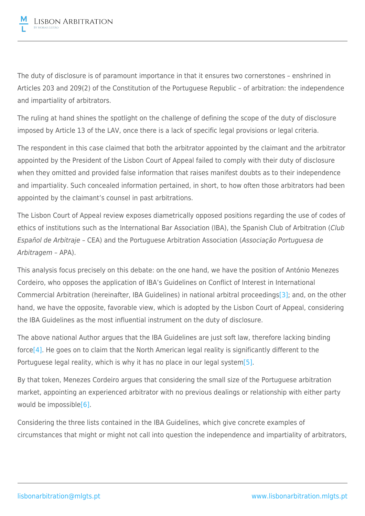The duty of disclosure is of paramount importance in that it ensures two cornerstones – enshrined in Articles 203 and 209(2) of the Constitution of the Portuguese Republic – of arbitration: the independence and impartiality of arbitrators.

The ruling at hand shines the spotlight on the challenge of defining the scope of the duty of disclosure imposed by Article 13 of the LAV, once there is a lack of specific legal provisions or legal criteria.

The respondent in this case claimed that both the arbitrator appointed by the claimant and the arbitrator appointed by the President of the Lisbon Court of Appeal failed to comply with their duty of disclosure when they omitted and provided false information that raises manifest doubts as to their independence and impartiality. Such concealed information pertained, in short, to how often those arbitrators had been appointed by the claimant's counsel in past arbitrations.

The Lisbon Court of Appeal review exposes diametrically opposed positions regarding the use of codes of ethics of institutions such as the International Bar Association (IBA), the Spanish Club of Arbitration (Club Español de Arbitraje – CEA) and the Portuguese Arbitration Association (Associação Portuguesa de Arbitragem – APA).

This analysis focus precisely on this debate: on the one hand, we have the position of António Menezes Cordeiro, who opposes the application of IBA's Guidelines on Conflict of Interest in International Commercial Arbitration (hereinafter, IBA Guidelines) in national arbitral proceedings[\[3\];](file:///C:/Users/CAP/OneDrive - MLGTS/Ambiente de Trabalho/Dever de revelação do árbitro - densificação através das Diretrizes da IBA - EN (RNG).docx#_ftn3) and, on the other hand, we have the opposite, favorable view, which is adopted by the Lisbon Court of Appeal, considering the IBA Guidelines as the most influential instrument on the duty of disclosure.

The above national Author argues that the IBA Guidelines are just soft law, therefore lacking binding forc[e\[4\]](file:///C:/Users/CAP/OneDrive - MLGTS/Ambiente de Trabalho/Dever de revelação do árbitro - densificação através das Diretrizes da IBA - EN (RNG).docx#_ftn4). He goes on to claim that the North American legal reality is significantly different to the Portuguese legal reality, which is why it has no place in our legal syste[m\[5\].](file:///C:/Users/CAP/OneDrive - MLGTS/Ambiente de Trabalho/Dever de revelação do árbitro - densificação através das Diretrizes da IBA - EN (RNG).docx#_ftn5)

By that token, Menezes Cordeiro argues that considering the small size of the Portuguese arbitration market, appointing an experienced arbitrator with no previous dealings or relationship with either party would be impossible[\[6\].](file:///C:/Users/CAP/OneDrive - MLGTS/Ambiente de Trabalho/Dever de revelação do árbitro - densificação através das Diretrizes da IBA - EN (RNG).docx#_ftn6)

Considering the three lists contained in the IBA Guidelines, which give concrete examples of circumstances that might or might not call into question the independence and impartiality of arbitrators,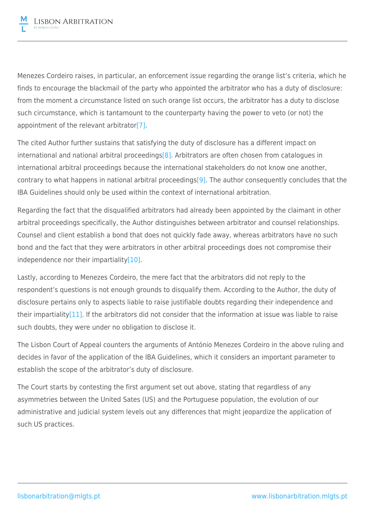Menezes Cordeiro raises, in particular, an enforcement issue regarding the orange list's criteria, which he finds to encourage the blackmail of the party who appointed the arbitrator who has a duty of disclosure: from the moment a circumstance listed on such orange list occurs, the arbitrator has a duty to disclose such circumstance, which is tantamount to the counterparty having the power to veto (or not) the appointment of the relevant arbitrator[\[7\]](file:///C:/Users/CAP/OneDrive - MLGTS/Ambiente de Trabalho/Dever de revelação do árbitro - densificação através das Diretrizes da IBA - EN (RNG).docx#_ftn7).

The cited Author further sustains that satisfying the duty of disclosure has a different impact on international and national arbitral proceedings<sup>[\[8\]](file:///C:/Users/CAP/OneDrive - MLGTS/Ambiente de Trabalho/Dever de revelação do árbitro - densificação através das Diretrizes da IBA - EN (RNG).docx#_ftn8)</sup>. Arbitrators are often chosen from catalogues in international arbitral proceedings because the international stakeholders do not know one another, contrary to what happens in national arbitral proceeding[s\[9\]](file:///C:/Users/CAP/OneDrive - MLGTS/Ambiente de Trabalho/Dever de revelação do árbitro - densificação através das Diretrizes da IBA - EN (RNG).docx#_ftn9). The author consequently concludes that the IBA Guidelines should only be used within the context of international arbitration.

Regarding the fact that the disqualified arbitrators had already been appointed by the claimant in other arbitral proceedings specifically, the Author distinguishes between arbitrator and counsel relationships. Counsel and client establish a bond that does not quickly fade away, whereas arbitrators have no such bond and the fact that they were arbitrators in other arbitral proceedings does not compromise their independence nor their impartialit[y\[10\].](file:///C:/Users/CAP/OneDrive - MLGTS/Ambiente de Trabalho/Dever de revelação do árbitro - densificação através das Diretrizes da IBA - EN (RNG).docx#_ftn10)

Lastly, according to Menezes Cordeiro, the mere fact that the arbitrators did not reply to the respondent's questions is not enough grounds to disqualify them. According to the Author, the duty of disclosure pertains only to aspects liable to raise justifiable doubts regarding their independence and their impartialit[y\[11\].](file:///C:/Users/CAP/OneDrive - MLGTS/Ambiente de Trabalho/Dever de revelação do árbitro - densificação através das Diretrizes da IBA - EN (RNG).docx#_ftn11) If the arbitrators did not consider that the information at issue was liable to raise such doubts, they were under no obligation to disclose it.

The Lisbon Court of Appeal counters the arguments of António Menezes Cordeiro in the above ruling and decides in favor of the application of the IBA Guidelines, which it considers an important parameter to establish the scope of the arbitrator's duty of disclosure.

The Court starts by contesting the first argument set out above, stating that regardless of any asymmetries between the United Sates (US) and the Portuguese population, the evolution of our administrative and judicial system levels out any differences that might jeopardize the application of such US practices.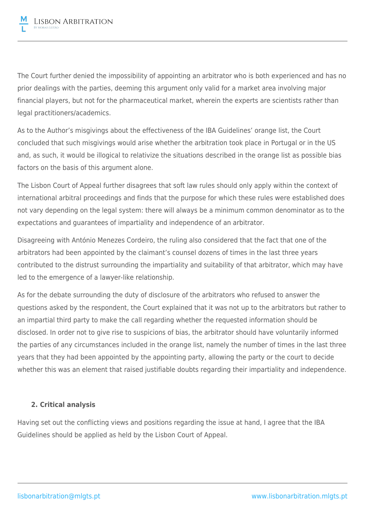The Court further denied the impossibility of appointing an arbitrator who is both experienced and has no prior dealings with the parties, deeming this argument only valid for a market area involving major financial players, but not for the pharmaceutical market, wherein the experts are scientists rather than legal practitioners/academics.

As to the Author's misgivings about the effectiveness of the IBA Guidelines' orange list, the Court concluded that such misgivings would arise whether the arbitration took place in Portugal or in the US and, as such, it would be illogical to relativize the situations described in the orange list as possible bias factors on the basis of this argument alone.

The Lisbon Court of Appeal further disagrees that soft law rules should only apply within the context of international arbitral proceedings and finds that the purpose for which these rules were established does not vary depending on the legal system: there will always be a minimum common denominator as to the expectations and guarantees of impartiality and independence of an arbitrator.

Disagreeing with António Menezes Cordeiro, the ruling also considered that the fact that one of the arbitrators had been appointed by the claimant's counsel dozens of times in the last three years contributed to the distrust surrounding the impartiality and suitability of that arbitrator, which may have led to the emergence of a lawyer-like relationship.

As for the debate surrounding the duty of disclosure of the arbitrators who refused to answer the questions asked by the respondent, the Court explained that it was not up to the arbitrators but rather to an impartial third party to make the call regarding whether the requested information should be disclosed. In order not to give rise to suspicions of bias, the arbitrator should have voluntarily informed the parties of any circumstances included in the orange list, namely the number of times in the last three years that they had been appointed by the appointing party, allowing the party or the court to decide whether this was an element that raised justifiable doubts regarding their impartiality and independence.

## **2. Critical analysis**

Having set out the conflicting views and positions regarding the issue at hand, I agree that the IBA Guidelines should be applied as held by the Lisbon Court of Appeal.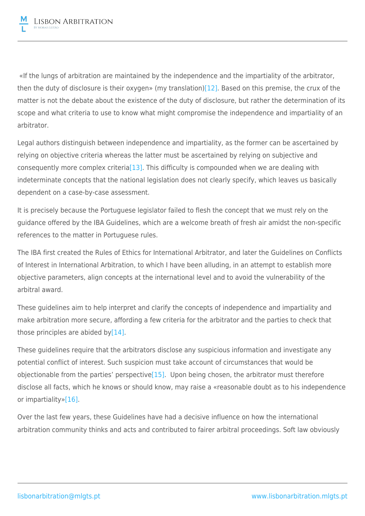«If the lungs of arbitration are maintained by the independence and the impartiality of the arbitrator, then the duty of disclosure is their oxygen» (my translation)[\[12\].](file:///C:/Users/CAP/OneDrive - MLGTS/Ambiente de Trabalho/Dever de revelação do árbitro - densificação através das Diretrizes da IBA - EN (RNG).docx#_ftn12) Based on this premise, the crux of the matter is not the debate about the existence of the duty of disclosure, but rather the determination of its scope and what criteria to use to know what might compromise the independence and impartiality of an arbitrator.

Legal authors distinguish between independence and impartiality, as the former can be ascertained by relying on objective criteria whereas the latter must be ascertained by relying on subjective and consequently more complex criteri[a\[13\]](file:///C:/Users/CAP/OneDrive - MLGTS/Ambiente de Trabalho/Dever de revelação do árbitro - densificação através das Diretrizes da IBA - EN (RNG).docx#_ftn13). This difficulty is compounded when we are dealing with indeterminate concepts that the national legislation does not clearly specify, which leaves us basically dependent on a case-by-case assessment.

It is precisely because the Portuguese legislator failed to flesh the concept that we must rely on the guidance offered by the IBA Guidelines, which are a welcome breath of fresh air amidst the non-specific references to the matter in Portuguese rules.

The IBA first created the Rules of Ethics for International Arbitrator, and later the Guidelines on Conflicts of Interest in International Arbitration, to which I have been alluding, in an attempt to establish more objective parameters, align concepts at the international level and to avoid the vulnerability of the arbitral award.

These guidelines aim to help interpret and clarify the concepts of independence and impartiality and make arbitration more secure, affording a few criteria for the arbitrator and the parties to check that those principles are abided by $[14]$ .

These guidelines require that the arbitrators disclose any suspicious information and investigate any potential conflict of interest. Such suspicion must take account of circumstances that would be objectionable from the parties' perspective $[15]$ . Upon being chosen, the arbitrator must therefore disclose all facts, which he knows or should know, may raise a «reasonable doubt as to his independence or impartiality[»\[16\].](file:///C:/Users/CAP/OneDrive - MLGTS/Ambiente de Trabalho/Dever de revelação do árbitro - densificação através das Diretrizes da IBA - EN (RNG).docx#_ftn16)

Over the last few years, these Guidelines have had a decisive influence on how the international arbitration community thinks and acts and contributed to fairer arbitral proceedings. Soft law obviously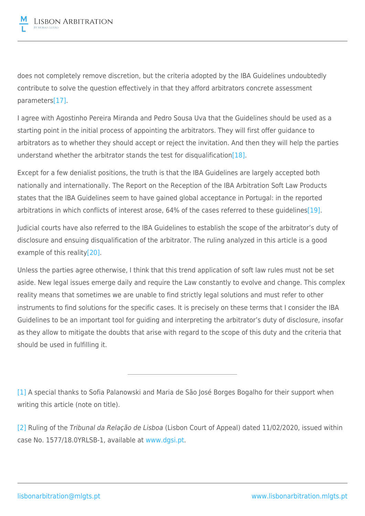

does not completely remove discretion, but the criteria adopted by the IBA Guidelines undoubtedly contribute to solve the question effectively in that they afford arbitrators concrete assessment parameter[s\[17\].](file:///C:/Users/CAP/OneDrive - MLGTS/Ambiente de Trabalho/Dever de revelação do árbitro - densificação através das Diretrizes da IBA - EN (RNG).docx#_ftn17)

I agree with Agostinho Pereira Miranda and Pedro Sousa Uva that the Guidelines should be used as a starting point in the initial process of appointing the arbitrators. They will first offer guidance to arbitrators as to whether they should accept or reject the invitation. And then they will help the parties understand whether the arbitrator stands the test for disqualification [\[18\].](file:///C:/Users/CAP/OneDrive - MLGTS/Ambiente de Trabalho/Dever de revelação do árbitro - densificação através das Diretrizes da IBA - EN (RNG).docx#_ftn18)

Except for a few denialist positions, the truth is that the IBA Guidelines are largely accepted both nationally and internationally. The Report on the Reception of the IBA Arbitration Soft Law Products states that the IBA Guidelines seem to have gained global acceptance in Portugal: in the reported arbitrations in which conflicts of interest arose, 64% of the cases referred to these guidelines<sup>[\[19\]](file:///C:/Users/CAP/OneDrive - MLGTS/Ambiente de Trabalho/Dever de revelação do árbitro - densificação através das Diretrizes da IBA - EN (RNG).docx#_ftn19)</sup>.

Judicial courts have also referred to the IBA Guidelines to establish the scope of the arbitrator's duty of disclosure and ensuing disqualification of the arbitrator. The ruling analyzed in this article is a good example of this reality<sup>[20]</sup>.

Unless the parties agree otherwise, I think that this trend application of soft law rules must not be set aside. New legal issues emerge daily and require the Law constantly to evolve and change. This complex reality means that sometimes we are unable to find strictly legal solutions and must refer to other instruments to find solutions for the specific cases. It is precisely on these terms that I consider the IBA Guidelines to be an important tool for guiding and interpreting the arbitrator's duty of disclosure, insofar as they allow to mitigate the doubts that arise with regard to the scope of this duty and the criteria that should be used in fulfilling it.

[\[1\]](file:///C:/Users/CAP/OneDrive - MLGTS/Ambiente de Trabalho/Dever de revelação do árbitro - densificação através das Diretrizes da IBA - EN (RNG).docx#_ftnref1) A special thanks to Sofia Palanowski and Maria de São José Borges Bogalho for their support when writing this article (note on title).

[\[2\]](file:///C:/Users/CAP/OneDrive - MLGTS/Ambiente de Trabalho/Dever de revelação do árbitro - densificação através das Diretrizes da IBA - EN (RNG).docx#_ftnref2) Ruling of the Tribunal da Relação de Lisboa (Lisbon Court of Appeal) dated 11/02/2020, issued within case No. 1577/18.0YRLSB-1, available at [www.dgsi.pt](http://www.dgsi.pt/).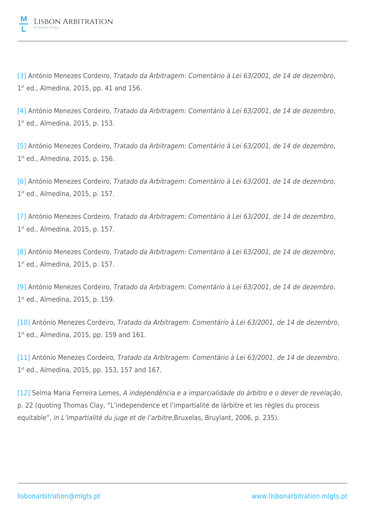

[\[3\]](file:///C:/Users/CAP/OneDrive - MLGTS/Ambiente de Trabalho/Dever de revelação do árbitro - densificação através das Diretrizes da IBA - EN (RNG).docx#_ftnref3) António Menezes Cordeiro, Tratado da Arbitragem: Comentário à Lei 63/2001, de 14 de dezembro, 1<sup>st</sup> ed., Almedina, 2015, pp. 41 and 156.

[\[4\]](file:///C:/Users/CAP/OneDrive - MLGTS/Ambiente de Trabalho/Dever de revelação do árbitro - densificação através das Diretrizes da IBA - EN (RNG).docx#_ftnref4) António Menezes Cordeiro, Tratado da Arbitragem: Comentário à Lei 63/2001, de 14 de dezembro, 1 st ed., Almedina, 2015, p. 153.

[\[5\]](file:///C:/Users/CAP/OneDrive - MLGTS/Ambiente de Trabalho/Dever de revelação do árbitro - densificação através das Diretrizes da IBA - EN (RNG).docx#_ftnref5) António Menezes Cordeiro, Tratado da Arbitragem: Comentário à Lei 63/2001, de 14 de dezembro, 1 st ed., Almedina, 2015, p. 156.

[\[6\]](file:///C:/Users/CAP/OneDrive - MLGTS/Ambiente de Trabalho/Dever de revelação do árbitro - densificação através das Diretrizes da IBA - EN (RNG).docx#_ftnref6) António Menezes Cordeiro, Tratado da Arbitragem: Comentário à Lei 63/2001, de 14 de dezembro, 1 st ed., Almedina, 2015, p. 157.

[\[7\]](file:///C:/Users/CAP/OneDrive - MLGTS/Ambiente de Trabalho/Dever de revelação do árbitro - densificação através das Diretrizes da IBA - EN (RNG).docx#_ftnref7) António Menezes Cordeiro, Tratado da Arbitragem: Comentário à Lei 63/2001, de 14 de dezembro, 1 st ed., Almedina, 2015, p. 157.

[\[8\]](file:///C:/Users/CAP/OneDrive - MLGTS/Ambiente de Trabalho/Dever de revelação do árbitro - densificação através das Diretrizes da IBA - EN (RNG).docx#_ftnref8) António Menezes Cordeiro, Tratado da Arbitragem: Comentário à Lei 63/2001, de 14 de dezembro, 1 st ed., Almedina, 2015, p. 157.

[\[9\]](file:///C:/Users/CAP/OneDrive - MLGTS/Ambiente de Trabalho/Dever de revelação do árbitro - densificação através das Diretrizes da IBA - EN (RNG).docx#_ftnref9) António Menezes Cordeiro, Tratado da Arbitragem: Comentário à Lei 63/2001, de 14 de dezembro, 1st ed., Almedina, 2015, p. 159.

[\[10\]](file:///C:/Users/CAP/OneDrive - MLGTS/Ambiente de Trabalho/Dever de revelação do árbitro - densificação através das Diretrizes da IBA - EN (RNG).docx#_ftnref10) António Menezes Cordeiro, Tratado da Arbitragem: Comentário à Lei 63/2001, de 14 de dezembro, 1<sup>st</sup> ed., Almedina, 2015, pp. 159 and 161.

[\[11\]](file:///C:/Users/CAP/OneDrive - MLGTS/Ambiente de Trabalho/Dever de revelação do árbitro - densificação através das Diretrizes da IBA - EN (RNG).docx#_ftnref11) António Menezes Cordeiro, Tratado da Arbitragem: Comentário à Lei 63/2001, de 14 de dezembro, 1 st ed., Almedina, 2015, pp. 153, 157 and 167.

[\[12\]](file:///C:/Users/CAP/OneDrive - MLGTS/Ambiente de Trabalho/Dever de revelação do árbitro - densificação através das Diretrizes da IBA - EN (RNG).docx#_ftnref12) Selma Maria Ferreira Lemes, A independência e a imparcialidade do árbitro e o dever de revelação, p. 22 (quoting Thomas Clay, "L'independence et l'impartialité de lárbitre et les règles du process equitable", in L'impartialité du juge et de l'arbitre,Bruxelas, Bruylant, 2006, p. 235).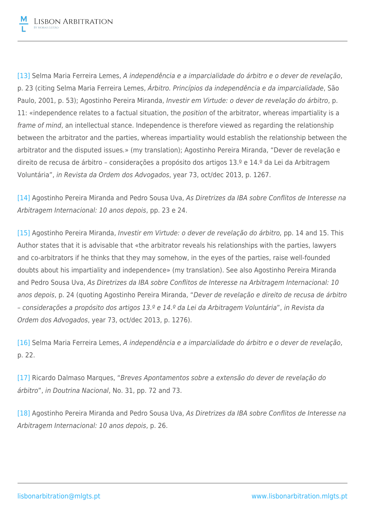

[\[13\]](file:///C:/Users/CAP/OneDrive - MLGTS/Ambiente de Trabalho/Dever de revelação do árbitro - densificação através das Diretrizes da IBA - EN (RNG).docx#_ftnref13) Selma Maria Ferreira Lemes, A independência e a imparcialidade do árbitro e o dever de revelação, p. 23 (citing Selma Maria Ferreira Lemes, Árbitro. Princípios da independência e da imparcialidade, São Paulo, 2001, p. 53); Agostinho Pereira Miranda, Investir em Virtude: o dever de revelação do árbitro, p. 11: «independence relates to a factual situation, the *position* of the arbitrator, whereas impartiality is a frame of mind, an intellectual stance. Independence is therefore viewed as regarding the relationship between the arbitrator and the parties, whereas impartiality would establish the relationship between the arbitrator and the disputed issues.» (my translation); Agostinho Pereira Miranda, "Dever de revelação e direito de recusa de árbitro – considerações a propósito dos artigos 13.º e 14.º da Lei da Arbitragem Voluntária", in Revista da Ordem dos Advogados, year 73, oct/dec 2013, p. 1267.

[\[14\]](file:///C:/Users/CAP/OneDrive - MLGTS/Ambiente de Trabalho/Dever de revelação do árbitro - densificação através das Diretrizes da IBA - EN (RNG).docx#_ftnref14) Agostinho Pereira Miranda and Pedro Sousa Uva, As Diretrizes da IBA sobre Conflitos de Interesse na Arbitragem Internacional: 10 anos depois, pp. 23 e 24.

[\[15\]](file:///C:/Users/CAP/OneDrive - MLGTS/Ambiente de Trabalho/Dever de revelação do árbitro - densificação através das Diretrizes da IBA - EN (RNG).docx#_ftnref15) Agostinho Pereira Miranda, Investir em Virtude: o dever de revelação do árbitro, pp. 14 and 15. This Author states that it is advisable that «the arbitrator reveals his relationships with the parties, lawyers and co-arbitrators if he thinks that they may somehow, in the eyes of the parties, raise well-founded doubts about his impartiality and independence» (my translation). See also Agostinho Pereira Miranda and Pedro Sousa Uva, As Diretrizes da IBA sobre Conflitos de Interesse na Arbitragem Internacional: 10 anos depois, p. 24 (quoting Agostinho Pereira Miranda, "Dever de revelação e direito de recusa de árbitro – considerações a propósito dos artigos 13.º e 14.º da Lei da Arbitragem Voluntária", in Revista da Ordem dos Advogados, year 73, oct/dec 2013, p. 1276).

[\[16\]](file:///C:/Users/CAP/OneDrive - MLGTS/Ambiente de Trabalho/Dever de revelação do árbitro - densificação através das Diretrizes da IBA - EN (RNG).docx#_ftnref16) Selma Maria Ferreira Lemes, A independência e a imparcialidade do árbitro e o dever de revelação, p. 22.

[\[17\]](file:///C:/Users/CAP/OneDrive - MLGTS/Ambiente de Trabalho/Dever de revelação do árbitro - densificação através das Diretrizes da IBA - EN (RNG).docx#_ftnref17) Ricardo Dalmaso Marques, "Breves Apontamentos sobre a extensão do dever de revelação do árbitro", in Doutrina Nacional, No. 31, pp. 72 and 73.

[\[18\]](file:///C:/Users/CAP/OneDrive - MLGTS/Ambiente de Trabalho/Dever de revelação do árbitro - densificação através das Diretrizes da IBA - EN (RNG).docx#_ftnref18) Agostinho Pereira Miranda and Pedro Sousa Uva, As Diretrizes da IBA sobre Conflitos de Interesse na Arbitragem Internacional: 10 anos depois, p. 26.